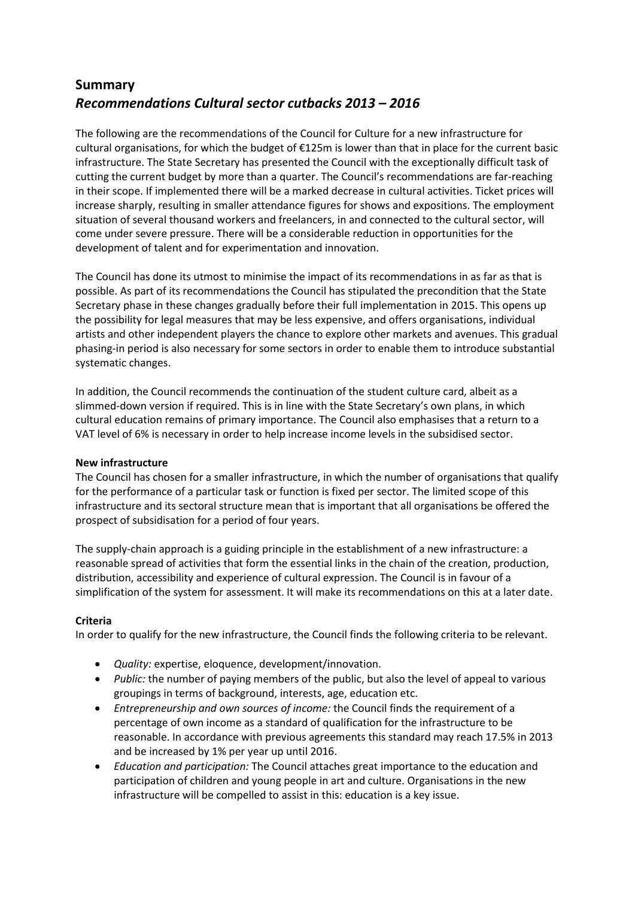# **Summary** *Recommendations Cultural sector cutbacks 2013 – 2016*

The following are the recommendations of the Council for Culture for a new infrastructure for cultural organisations, for which the budget of €125m is lower than that in place for the current basic infrastructure. The State Secretary has presented the Council with the exceptionally difficult task of cutting the current budget by more than a quarter. The Council's recommendations are far-reaching in their scope. If implemented there will be a marked decrease in cultural activities. Ticket prices will increase sharply, resulting in smaller attendance figures for shows and expositions. The employment situation of several thousand workers and freelancers, in and connected to the cultural sector, will come under severe pressure. There will be a considerable reduction in opportunities for the development of talent and for experimentation and innovation.

The Council has done its utmost to minimise the impact of its recommendations in as far as that is possible. As part of its recommendations the Council has stipulated the precondition that the State Secretary phase in these changes gradually before their full implementation in 2015. This opens up the possibility for legal measures that may be less expensive, and offers organisations, individual artists and other independent players the chance to explore other markets and avenues. This gradual phasing-in period is also necessary for some sectors in order to enable them to introduce substantial systematic changes.

In addition, the Council recommends the continuation of the student culture card, albeit as a slimmed-down version if required. This is in line with the State Secretary's own plans, in which cultural education remains of primary importance. The Council also emphasises that a return to a VAT level of 6% is necessary in order to help increase income levels in the subsidised sector.

# **New infrastructure**

The Council has chosen for a smaller infrastructure, in which the number of organisations that qualify for the performance of a particular task or function is fixed per sector. The limited scope of this infrastructure and its sectoral structure mean that is important that all organisations be offered the prospect of subsidisation for a period of four years.

The supply-chain approach is a guiding principle in the establishment of a new infrastructure: a reasonable spread of activities that form the essential links in the chain of the creation, production, distribution, accessibility and experience of cultural expression. The Council is in favour of a simplification of the system for assessment. It will make its recommendations on this at a later date.

# **Criteria**

In order to qualify for the new infrastructure, the Council finds the following criteria to be relevant.

- *Quality:* expertise, eloquence, development/innovation.
- *Public:* the number of paying members of the public, but also the level of appeal to various groupings in terms of background, interests, age, education etc.
- *Entrepreneurship and own sources of income:* the Council finds the requirement of a percentage of own income as a standard of qualification for the infrastructure to be reasonable. In accordance with previous agreements this standard may reach 17.5% in 2013 and be increased by 1% per year up until 2016.
- *Education and participation:* The Council attaches great importance to the education and participation of children and young people in art and culture. Organisations in the new infrastructure will be compelled to assist in this: education is a key issue.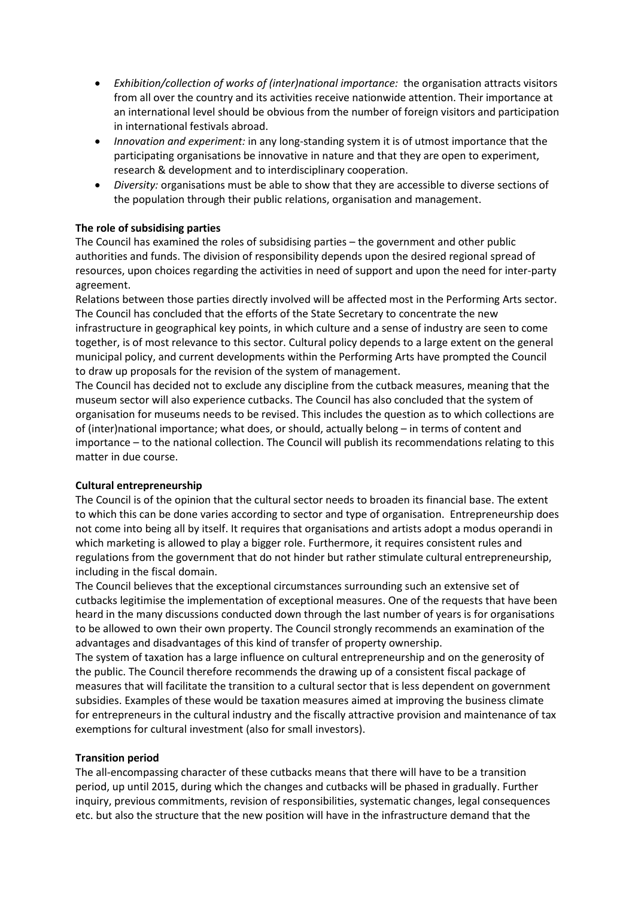- *Exhibition/collection of works of (inter)national importance:* the organisation attracts visitors from all over the country and its activities receive nationwide attention. Their importance at an international level should be obvious from the number of foreign visitors and participation in international festivals abroad.
- *Innovation and experiment:* in any long-standing system it is of utmost importance that the participating organisations be innovative in nature and that they are open to experiment, research & development and to interdisciplinary cooperation.
- *Diversity:* organisations must be able to show that they are accessible to diverse sections of the population through their public relations, organisation and management.

## **The role of subsidising parties**

The Council has examined the roles of subsidising parties – the government and other public authorities and funds. The division of responsibility depends upon the desired regional spread of resources, upon choices regarding the activities in need of support and upon the need for inter-party agreement.

Relations between those parties directly involved will be affected most in the Performing Arts sector. The Council has concluded that the efforts of the State Secretary to concentrate the new infrastructure in geographical key points, in which culture and a sense of industry are seen to come together, is of most relevance to this sector. Cultural policy depends to a large extent on the general municipal policy, and current developments within the Performing Arts have prompted the Council to draw up proposals for the revision of the system of management.

The Council has decided not to exclude any discipline from the cutback measures, meaning that the museum sector will also experience cutbacks. The Council has also concluded that the system of organisation for museums needs to be revised. This includes the question as to which collections are of (inter)national importance; what does, or should, actually belong – in terms of content and importance – to the national collection. The Council will publish its recommendations relating to this matter in due course.

#### **Cultural entrepreneurship**

The Council is of the opinion that the cultural sector needs to broaden its financial base. The extent to which this can be done varies according to sector and type of organisation. Entrepreneurship does not come into being all by itself. It requires that organisations and artists adopt a modus operandi in which marketing is allowed to play a bigger role. Furthermore, it requires consistent rules and regulations from the government that do not hinder but rather stimulate cultural entrepreneurship, including in the fiscal domain.

The Council believes that the exceptional circumstances surrounding such an extensive set of cutbacks legitimise the implementation of exceptional measures. One of the requests that have been heard in the many discussions conducted down through the last number of years is for organisations to be allowed to own their own property. The Council strongly recommends an examination of the advantages and disadvantages of this kind of transfer of property ownership.

The system of taxation has a large influence on cultural entrepreneurship and on the generosity of the public. The Council therefore recommends the drawing up of a consistent fiscal package of measures that will facilitate the transition to a cultural sector that is less dependent on government subsidies. Examples of these would be taxation measures aimed at improving the business climate for entrepreneurs in the cultural industry and the fiscally attractive provision and maintenance of tax exemptions for cultural investment (also for small investors).

#### **Transition period**

The all-encompassing character of these cutbacks means that there will have to be a transition period, up until 2015, during which the changes and cutbacks will be phased in gradually. Further inquiry, previous commitments, revision of responsibilities, systematic changes, legal consequences etc. but also the structure that the new position will have in the infrastructure demand that the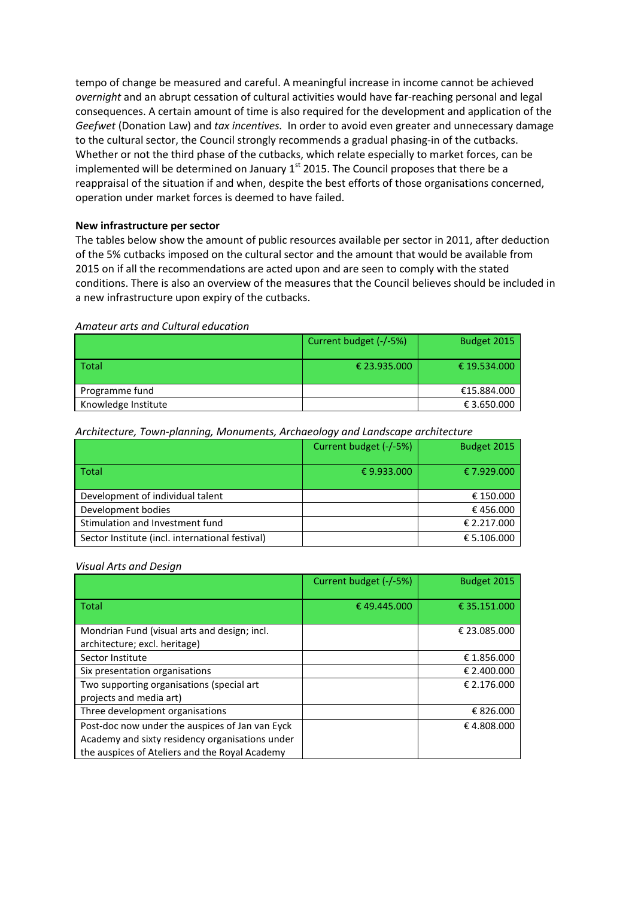tempo of change be measured and careful. A meaningful increase in income cannot be achieved *overnight* and an abrupt cessation of cultural activities would have far-reaching personal and legal consequences. A certain amount of time is also required for the development and application of the *Geefwet* (Donation Law) and *tax incentives.* In order to avoid even greater and unnecessary damage to the cultural sector, the Council strongly recommends a gradual phasing-in of the cutbacks. Whether or not the third phase of the cutbacks, which relate especially to market forces, can be implemented will be determined on January  $1<sup>st</sup>$  2015. The Council proposes that there be a reappraisal of the situation if and when, despite the best efforts of those organisations concerned, operation under market forces is deemed to have failed.

#### **New infrastructure per sector**

The tables below show the amount of public resources available per sector in 2011, after deduction of the 5% cutbacks imposed on the cultural sector and the amount that would be available from 2015 on if all the recommendations are acted upon and are seen to comply with the stated conditions. There is also an overview of the measures that the Council believes should be included in a new infrastructure upon expiry of the cutbacks.

#### *Amateur arts and Cultural education*

|                     | Current budget (-/-5%) | Budget 2015  |
|---------------------|------------------------|--------------|
| l Total             | € 23.935.000           | € 19.534.000 |
| Programme fund      |                        | €15.884.000  |
| Knowledge Institute |                        | € 3.650.000  |

#### *Architecture, Town-planning, Monuments, Archaeology and Landscape architecture*

|                                                 | Current budget (-/-5%) | Budget 2015 |
|-------------------------------------------------|------------------------|-------------|
| Total                                           | € 9.933.000            | € 7.929.000 |
| Development of individual talent                |                        | € 150.000   |
| Development bodies                              |                        | €456.000    |
| Stimulation and Investment fund                 |                        | € 2.217.000 |
| Sector Institute (incl. international festival) |                        | € 5.106.000 |

#### *Visual Arts and Design*

|                                                                                                                                                      | Current budget (-/-5%) | Budget 2015  |
|------------------------------------------------------------------------------------------------------------------------------------------------------|------------------------|--------------|
| Total                                                                                                                                                | €49.445.000            | € 35.151.000 |
| Mondrian Fund (visual arts and design; incl.<br>architecture; excl. heritage)                                                                        |                        | € 23.085.000 |
| Sector Institute                                                                                                                                     |                        | € 1.856.000  |
| Six presentation organisations                                                                                                                       |                        | € 2.400.000  |
| Two supporting organisations (special art<br>projects and media art)                                                                                 |                        | € 2.176.000  |
| Three development organisations                                                                                                                      |                        | € 826.000    |
| Post-doc now under the auspices of Jan van Eyck<br>Academy and sixty residency organisations under<br>the auspices of Ateliers and the Royal Academy |                        | €4.808.000   |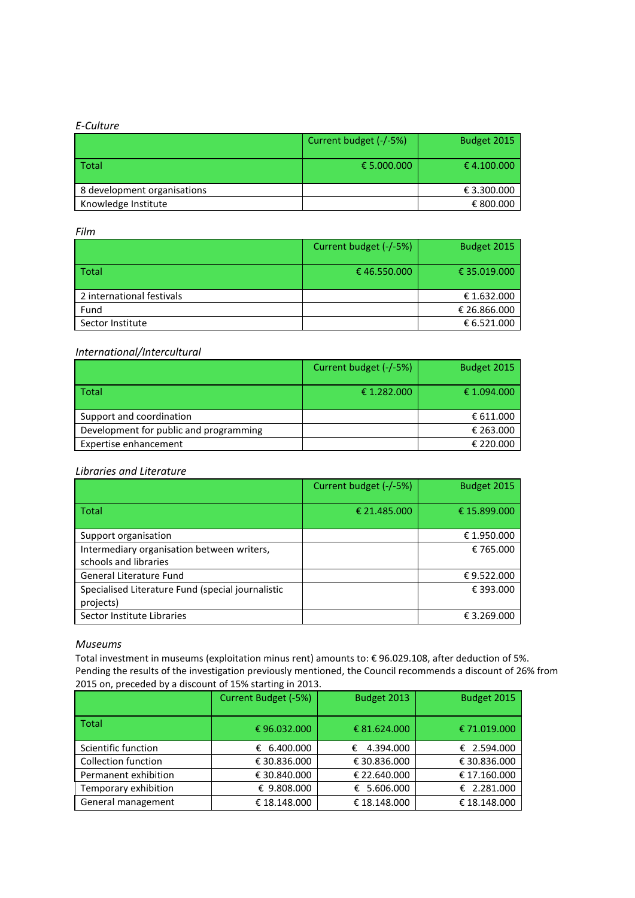# *E-Culture*

|                             | Current budget (-/-5%) | Budget 2015 |
|-----------------------------|------------------------|-------------|
| Total                       | € 5.000.000            | €4.100.000  |
| 8 development organisations |                        | € 3.300.000 |
| Knowledge Institute         |                        | € 800.000   |

*Film*

|                           | Current budget (-/-5%) | Budget 2015  |
|---------------------------|------------------------|--------------|
| Total                     | €46.550.000            | € 35.019.000 |
| 2 international festivals |                        | € 1.632.000  |
| Fund                      |                        | € 26.866.000 |
| Sector Institute          |                        | € 6.521.000  |

## *International/Intercultural*

|                                        | Current budget (-/-5%) | Budget 2015 |
|----------------------------------------|------------------------|-------------|
| Total                                  | € 1.282.000            | € 1.094.000 |
| Support and coordination               |                        | € 611.000   |
| Development for public and programming |                        | € 263.000   |
| Expertise enhancement                  |                        | € 220.000   |

#### *Libraries and Literature*

|                                                   | Current budget (-/-5%) | Budget 2015  |
|---------------------------------------------------|------------------------|--------------|
| Total                                             | € 21.485.000           | € 15.899.000 |
| Support organisation                              |                        | € 1.950.000  |
| Intermediary organisation between writers,        |                        | €765.000     |
| schools and libraries                             |                        |              |
| General Literature Fund                           |                        | € 9.522.000  |
| Specialised Literature Fund (special journalistic |                        | € 393.000    |
| projects)                                         |                        |              |
| Sector Institute Libraries                        |                        | € 3.269.000  |

#### *Museums*

Total investment in museums (exploitation minus rent) amounts to: € 96.029.108, after deduction of 5%. Pending the results of the investigation previously mentioned, the Council recommends a discount of 26% from 2015 on, preceded by a discount of 15% starting in 2013.

|                            | Current Budget (-5%) | Budget 2013    | Budget 2015  |
|----------------------------|----------------------|----------------|--------------|
| Total                      | €96.032.000          | € 81.624.000   | € 71.019.000 |
| Scientific function        | € 6.400,000          | 4.394.000<br>€ | € 2.594.000  |
| <b>Collection function</b> | € 30.836.000         | € 30.836.000   | € 30.836.000 |
| Permanent exhibition       | € 30.840.000         | € 22.640.000   | € 17.160.000 |
| Temporary exhibition       | € 9.808.000          | € 5.606.000    | € 2.281.000  |
| General management         | €18.148.000          | € 18.148.000   | €18.148.000  |